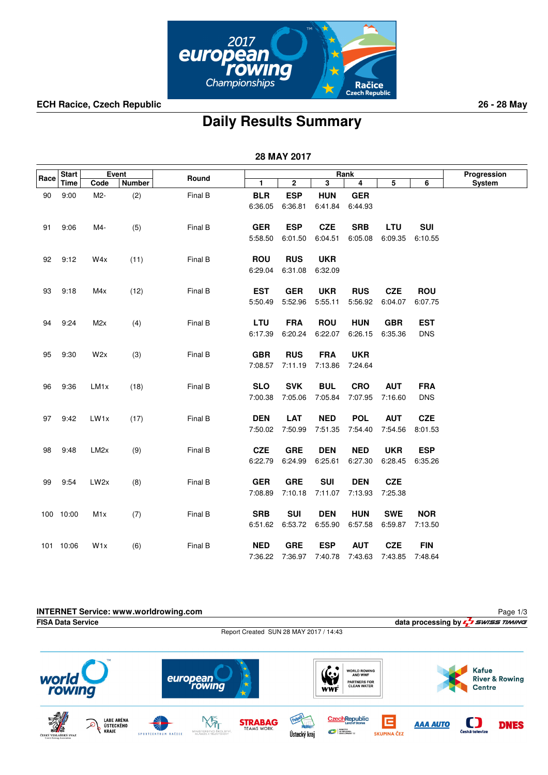

**ECH Racice, Czech Republic 26 - 28 May**

## **Daily Results Summary**

 **28 MAY 2017**

|      | <b>Start</b> |                   | Event  |         |            |              |            | Rank       |            |            | Progression |
|------|--------------|-------------------|--------|---------|------------|--------------|------------|------------|------------|------------|-------------|
| Race | Time         | Code              | Number | Round   | 1          | $\mathbf{2}$ | 3          | 4          | 5          | 6          | System      |
| 90   | 9:00         | M2-               | (2)    | Final B | <b>BLR</b> | <b>ESP</b>   | <b>HUN</b> | <b>GER</b> |            |            |             |
|      |              |                   |        |         | 6:36.05    | 6:36.81      | 6:41.84    | 6:44.93    |            |            |             |
|      |              |                   |        |         |            |              |            |            |            |            |             |
| 91   | 9:06         | M4-               | (5)    | Final B | <b>GER</b> | <b>ESP</b>   | <b>CZE</b> | <b>SRB</b> | <b>LTU</b> | <b>SUI</b> |             |
|      |              |                   |        |         | 5:58.50    | 6:01.50      | 6:04.51    | 6:05.08    | 6:09.35    | 6:10.55    |             |
|      |              |                   |        |         |            |              |            |            |            |            |             |
| 92   | 9:12         | W4x               | (11)   | Final B | <b>ROU</b> | <b>RUS</b>   | <b>UKR</b> |            |            |            |             |
|      |              |                   |        |         | 6:29.04    | 6:31.08      | 6:32.09    |            |            |            |             |
| 93   | 9:18         | M4x               | (12)   | Final B | <b>EST</b> | <b>GER</b>   | <b>UKR</b> | <b>RUS</b> | <b>CZE</b> | <b>ROU</b> |             |
|      |              |                   |        |         | 5:50.49    | 5:52.96      | 5:55.11    | 5:56.92    | 6:04.07    | 6:07.75    |             |
|      |              |                   |        |         |            |              |            |            |            |            |             |
| 94   | 9:24         | M2x               | (4)    | Final B | LTU        | <b>FRA</b>   | <b>ROU</b> | <b>HUN</b> | <b>GBR</b> | <b>EST</b> |             |
|      |              |                   |        |         | 6:17.39    | 6:20.24      | 6:22.07    | 6:26.15    | 6:35.36    | <b>DNS</b> |             |
|      |              |                   |        |         |            |              |            |            |            |            |             |
| 95   | 9:30         | W2x               | (3)    | Final B | <b>GBR</b> | <b>RUS</b>   | <b>FRA</b> | <b>UKR</b> |            |            |             |
|      |              |                   |        |         | 7:08.57    | 7:11.19      | 7:13.86    | 7:24.64    |            |            |             |
|      |              |                   |        |         |            |              |            |            |            |            |             |
| 96   | 9:36         | LM <sub>1x</sub>  | (18)   | Final B | <b>SLO</b> | <b>SVK</b>   | <b>BUL</b> | <b>CRO</b> | <b>AUT</b> | <b>FRA</b> |             |
|      |              |                   |        |         | 7:00.38    | 7:05.06      | 7:05.84    | 7:07.95    | 7:16.60    | <b>DNS</b> |             |
|      |              |                   |        |         | <b>DEN</b> | <b>LAT</b>   | <b>NED</b> | <b>POL</b> | <b>AUT</b> | <b>CZE</b> |             |
| 97   | 9:42         | LW1x              | (17)   | Final B | 7:50.02    | 7:50.99      | 7:51.35    | 7:54.40    | 7:54.56    | 8:01.53    |             |
|      |              |                   |        |         |            |              |            |            |            |            |             |
| 98   | 9:48         | LM <sub>2</sub> x | (9)    | Final B | <b>CZE</b> | <b>GRE</b>   | <b>DEN</b> | <b>NED</b> | <b>UKR</b> | <b>ESP</b> |             |
|      |              |                   |        |         | 6:22.79    | 6:24.99      | 6:25.61    | 6:27.30    | 6:28.45    | 6:35.26    |             |
|      |              |                   |        |         |            |              |            |            |            |            |             |
| 99   | 9:54         | LW <sub>2x</sub>  | (8)    | Final B | <b>GER</b> | <b>GRE</b>   | <b>SUI</b> | <b>DEN</b> | <b>CZE</b> |            |             |
|      |              |                   |        |         | 7:08.89    | 7:10.18      | 7:11.07    | 7:13.93    | 7:25.38    |            |             |
|      |              |                   |        |         |            |              |            |            |            |            |             |
|      | 100 10:00    | M1x               | (7)    | Final B | <b>SRB</b> | <b>SUI</b>   | <b>DEN</b> | <b>HUN</b> | <b>SWE</b> | <b>NOR</b> |             |
|      |              |                   |        |         | 6:51.62    | 6:53.72      | 6:55.90    | 6:57.58    | 6:59.87    | 7:13.50    |             |
|      |              |                   |        |         |            |              |            |            |            |            |             |
|      | 101 10:06    | W1x               | (6)    | Final B | <b>NED</b> | <b>GRE</b>   | <b>ESP</b> | <b>AUT</b> | CZE        | <b>FIN</b> |             |
|      |              |                   |        |         | 7:36.22    | 7:36.97      | 7:40.78    | 7:43.63    | 7:43.85    | 7:48.64    |             |

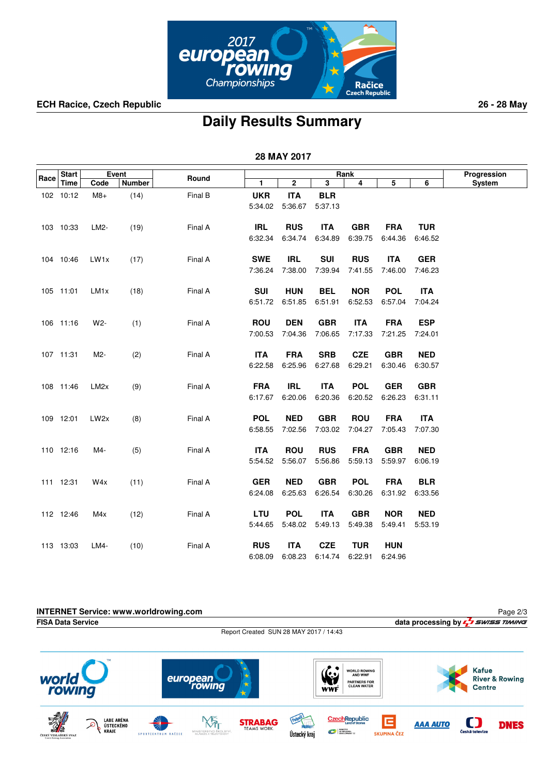

**ECH Racice, Czech Republic 26 - 28 May**

## **Daily Results Summary**

 **28 MAY 2017**

|      | Event<br><b>Start</b> |                  |               |         |            |             | Progression |            |            |            |        |
|------|-----------------------|------------------|---------------|---------|------------|-------------|-------------|------------|------------|------------|--------|
| Race | <b>Time</b>           | Code             | <b>Number</b> | Round   | 1          | $\mathbf 2$ | 3           | Rank<br>4  | 5          | 6          | System |
|      | 102 10:12             | $M8+$            | (14)          | Final B | <b>UKR</b> | <b>ITA</b>  | <b>BLR</b>  |            |            |            |        |
|      |                       |                  |               |         | 5:34.02    | 5:36.67     | 5:37.13     |            |            |            |        |
|      |                       |                  |               |         |            |             |             |            |            |            |        |
|      | 103 10:33             | LM2-             | (19)          | Final A | <b>IRL</b> | <b>RUS</b>  | <b>ITA</b>  | <b>GBR</b> | <b>FRA</b> | <b>TUR</b> |        |
|      |                       |                  |               |         | 6:32.34    | 6:34.74     | 6:34.89     | 6:39.75    | 6:44.36    | 6:46.52    |        |
|      |                       |                  |               |         |            |             |             |            |            |            |        |
|      | 104 10:46             | LW <sub>1x</sub> | (17)          | Final A | <b>SWE</b> | <b>IRL</b>  | <b>SUI</b>  | <b>RUS</b> | <b>ITA</b> | <b>GER</b> |        |
|      |                       |                  |               |         | 7:36.24    | 7:38.00     | 7:39.94     | 7:41.55    | 7:46.00    | 7:46.23    |        |
|      | 105 11:01             | LM <sub>1x</sub> | (18)          | Final A | <b>SUI</b> | <b>HUN</b>  | <b>BEL</b>  | <b>NOR</b> | <b>POL</b> | <b>ITA</b> |        |
|      |                       |                  |               |         | 6:51.72    | 6:51.85     | 6:51.91     | 6:52.53    | 6:57.04    | 7:04.24    |        |
|      |                       |                  |               |         |            |             |             |            |            |            |        |
|      | 106 11:16             | W2-              | (1)           | Final A | <b>ROU</b> | <b>DEN</b>  | <b>GBR</b>  | <b>ITA</b> | <b>FRA</b> | <b>ESP</b> |        |
|      |                       |                  |               |         | 7:00.53    | 7:04.36     | 7:06.65     | 7:17.33    | 7:21.25    | 7:24.01    |        |
|      |                       |                  |               |         |            |             |             |            |            |            |        |
|      | 107 11:31             | M2-              | (2)           | Final A | <b>ITA</b> | <b>FRA</b>  | <b>SRB</b>  | <b>CZE</b> | <b>GBR</b> | <b>NED</b> |        |
|      |                       |                  |               |         | 6:22.58    | 6:25.96     | 6:27.68     | 6:29.21    | 6:30.46    | 6:30.57    |        |
|      | 108 11:46             | LM <sub>2x</sub> | (9)           | Final A | <b>FRA</b> | <b>IRL</b>  | <b>ITA</b>  | <b>POL</b> | <b>GER</b> | <b>GBR</b> |        |
|      |                       |                  |               |         | 6:17.67    | 6:20.06     | 6:20.36     | 6:20.52    | 6:26.23    | 6:31.11    |        |
|      |                       |                  |               |         |            |             |             |            |            |            |        |
|      | 109 12:01             | LW <sub>2x</sub> | (8)           | Final A | <b>POL</b> | <b>NED</b>  | <b>GBR</b>  | <b>ROU</b> | <b>FRA</b> | <b>ITA</b> |        |
|      |                       |                  |               |         | 6:58.55    | 7:02.56     | 7:03.02     | 7:04.27    | 7:05.43    | 7:07.30    |        |
|      |                       |                  |               |         |            |             |             |            |            |            |        |
|      | 110 12:16             | M4-              | (5)           | Final A | <b>ITA</b> | <b>ROU</b>  | <b>RUS</b>  | <b>FRA</b> | <b>GBR</b> | <b>NED</b> |        |
|      |                       |                  |               |         | 5:54.52    | 5:56.07     | 5:56.86     | 5:59.13    | 5:59.97    | 6.06.19    |        |
|      | 111 12:31             | W4x              | (11)          | Final A | <b>GER</b> | <b>NED</b>  | <b>GBR</b>  | <b>POL</b> | <b>FRA</b> | <b>BLR</b> |        |
|      |                       |                  |               |         | 6:24.08    | 6:25.63     | 6:26.54     | 6:30.26    | 6:31.92    | 6:33.56    |        |
|      |                       |                  |               |         |            |             |             |            |            |            |        |
|      | 112 12:46             | M4x              | (12)          | Final A | LTU        | <b>POL</b>  | <b>ITA</b>  | <b>GBR</b> | <b>NOR</b> | <b>NED</b> |        |
|      |                       |                  |               |         | 5:44.65    | 5:48.02     | 5:49.13     | 5:49.38    | 5:49.41    | 5:53.19    |        |
|      |                       |                  |               |         |            |             |             |            |            |            |        |
|      | 113 13:03             | LM4-             | (10)          | Final A | <b>RUS</b> | <b>ITA</b>  | <b>CZE</b>  | <b>TUR</b> | <b>HUN</b> |            |        |
|      |                       |                  |               |         | 6:08.09    | 6:08.23     | 6:14.74     | 6:22.91    | 6:24.96    |            |        |